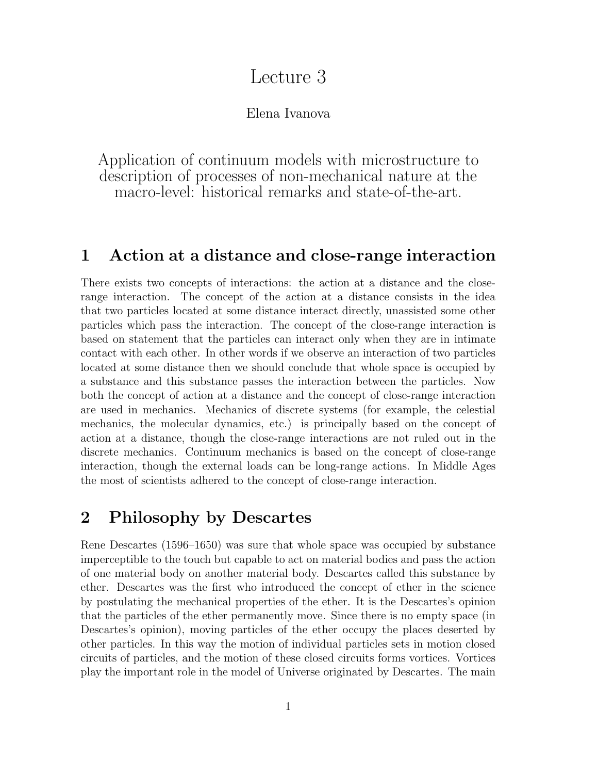# Lecture 3

Elena Ivanova

Application of continuum models with microstructure to description of processes of non-mechanical nature at the macro-level: historical remarks and state-of-the-art.

### **1 Action at a distance and close-range interaction**

There exists two concepts of interactions: the action at a distance and the closerange interaction. The concept of the action at a distance consists in the idea that two particles located at some distance interact directly, unassisted some other particles which pass the interaction. The concept of the close-range interaction is based on statement that the particles can interact only when they are in intimate contact with each other. In other words if we observe an interaction of two particles located at some distance then we should conclude that whole space is occupied by a substance and this substance passes the interaction between the particles. Now both the concept of action at a distance and the concept of close-range interaction are used in mechanics. Mechanics of discrete systems (for example, the celestial mechanics, the molecular dynamics, etc.) is principally based on the concept of action at a distance, though the close-range interactions are not ruled out in the discrete mechanics. Continuum mechanics is based on the concept of close-range interaction, though the external loads can be long-range actions. In Middle Ages the most of scientists adhered to the concept of close-range interaction.

### **2 Philosophy by Descartes**

Rene Descartes (1596–1650) was sure that whole space was occupied by substance imperceptible to the touch but capable to act on material bodies and pass the action of one material body on another material body. Descartes called this substance by ether. Descartes was the first who introduced the concept of ether in the science by postulating the mechanical properties of the ether. It is the Descartes's opinion that the particles of the ether permanently move. Since there is no empty space (in Descartes's opinion), moving particles of the ether occupy the places deserted by other particles. In this way the motion of individual particles sets in motion closed circuits of particles, and the motion of these closed circuits forms vortices. Vortices play the important role in the model of Universe originated by Descartes. The main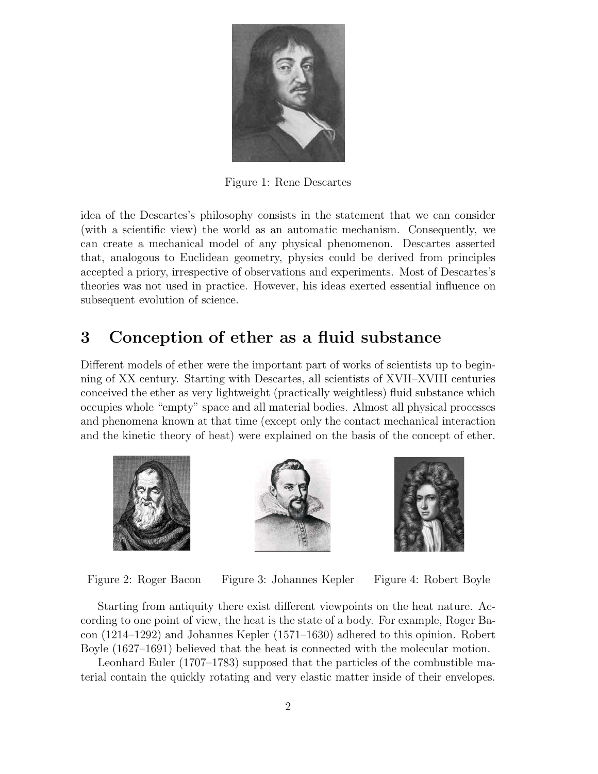

Figure 1: Rene Descartes

idea of the Descartes's philosophy consists in the statement that we can consider (with a scientific view) the world as an automatic mechanism. Consequently, we can create a mechanical model of any physical phenomenon. Descartes asserted that, analogous to Euclidean geometry, physics could be derived from principles accepted a priory, irrespective of observations and experiments. Most of Descartes's theories was not used in practice. However, his ideas exerted essential influence on subsequent evolution of science.

## **3 Conception of ether as a fluid substance**

Different models of ether were the important part of works of scientists up to beginning of XX century. Starting with Descartes, all scientists of XVII–XVIII centuries conceived the ether as very lightweight (practically weightless) fluid substance which occupies whole "empty" space and all material bodies. Almost all physical processes and phenomena known at that time (except only the contact mechanical interaction and the kinetic theory of heat) were explained on the basis of the concept of ether.







Figure 2: Roger Bacon Figure 3: Johannes Kepler Figure 4: Robert Boyle

Starting from antiquity there exist different viewpoints on the heat nature. According to one point of view, the heat is the state of a body. For example, Roger Bacon (1214–1292) and Johannes Kepler (1571–1630) adhered to this opinion. Robert Boyle (1627–1691) believed that the heat is connected with the molecular motion.

Leonhard Euler (1707–1783) supposed that the particles of the combustible material contain the quickly rotating and very elastic matter inside of their envelopes.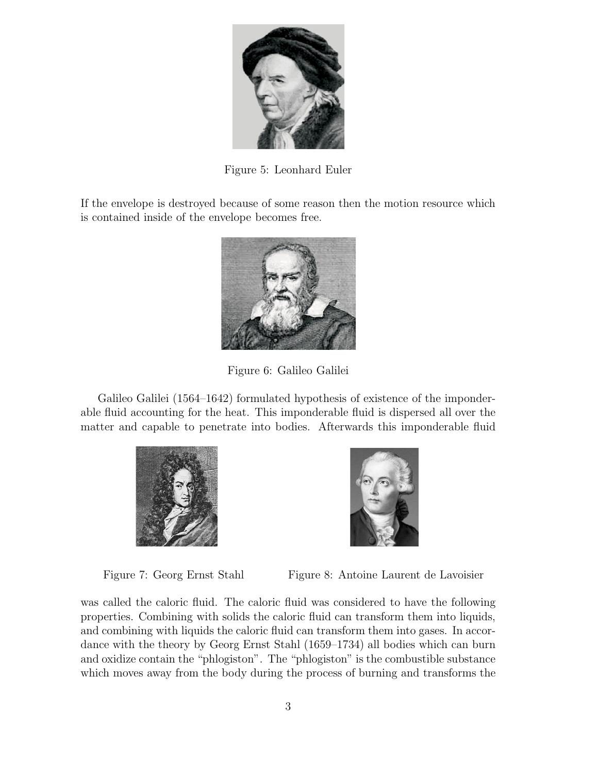

Figure 5: Leonhard Euler

If the envelope is destroyed because of some reason then the motion resource which is contained inside of the envelope becomes free.



Figure 6: Galileo Galilei

Galileo Galilei (1564–1642) formulated hypothesis of existence of the imponderable fluid accounting for the heat. This imponderable fluid is dispersed all over the matter and capable to penetrate into bodies. Afterwards this imponderable fluid





Figure 7: Georg Ernst Stahl Figure 8: Antoine Laurent de Lavoisier

was called the caloric fluid. The caloric fluid was considered to have the following properties. Combining with solids the caloric fluid can transform them into liquids, and combining with liquids the caloric fluid can transform them into gases. In accordance with the theory by Georg Ernst Stahl (1659–1734) all bodies which can burn and oxidize contain the "phlogiston". The "phlogiston" is the combustible substance which moves away from the body during the process of burning and transforms the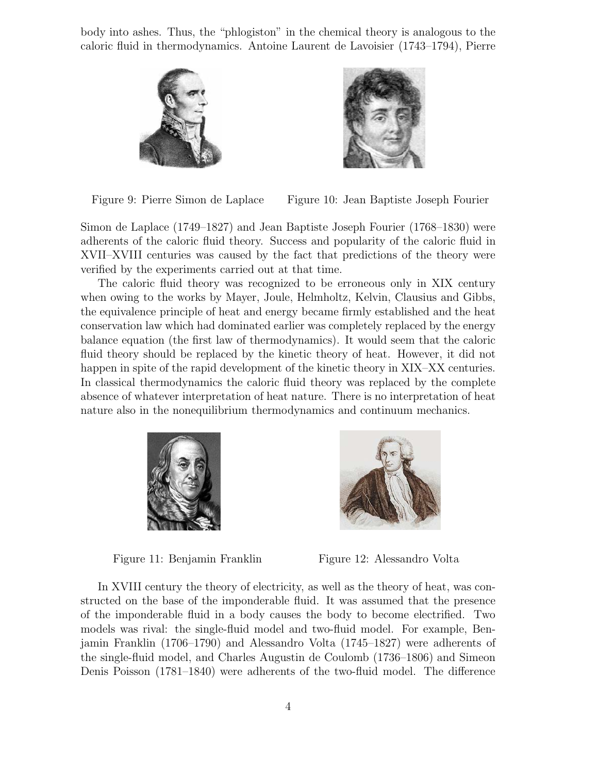body into ashes. Thus, the "phlogiston" in the chemical theory is analogous to the caloric fluid in thermodynamics. Antoine Laurent de Lavoisier (1743–1794), Pierre



Figure 9: Pierre Simon de Laplace Figure 10: Jean Baptiste Joseph Fourier

Simon de Laplace (1749–1827) and Jean Baptiste Joseph Fourier (1768–1830) were adherents of the caloric fluid theory. Success and popularity of the caloric fluid in XVII–XVIII centuries was caused by the fact that predictions of the theory were verified by the experiments carried out at that time.

The caloric fluid theory was recognized to be erroneous only in XIX century when owing to the works by Mayer, Joule, Helmholtz, Kelvin, Clausius and Gibbs, the equivalence principle of heat and energy became firmly established and the heat conservation law which had dominated earlier was completely replaced by the energy balance equation (the first law of thermodynamics). It would seem that the caloric fluid theory should be replaced by the kinetic theory of heat. However, it did not happen in spite of the rapid development of the kinetic theory in XIX–XX centuries. In classical thermodynamics the caloric fluid theory was replaced by the complete absence of whatever interpretation of heat nature. There is no interpretation of heat nature also in the nonequilibrium thermodynamics and continuum mechanics.



Figure 11: Benjamin Franklin Figure 12: Alessandro Volta



In XVIII century the theory of electricity, as well as the theory of heat, was constructed on the base of the imponderable fluid. It was assumed that the presence of the imponderable fluid in a body causes the body to become electrified. Two models was rival: the single-fluid model and two-fluid model. For example, Benjamin Franklin (1706–1790) and Alessandro Volta (1745–1827) were adherents of the single-fluid model, and Charles Augustin de Coulomb (1736–1806) and Simeon Denis Poisson (1781–1840) were adherents of the two-fluid model. The difference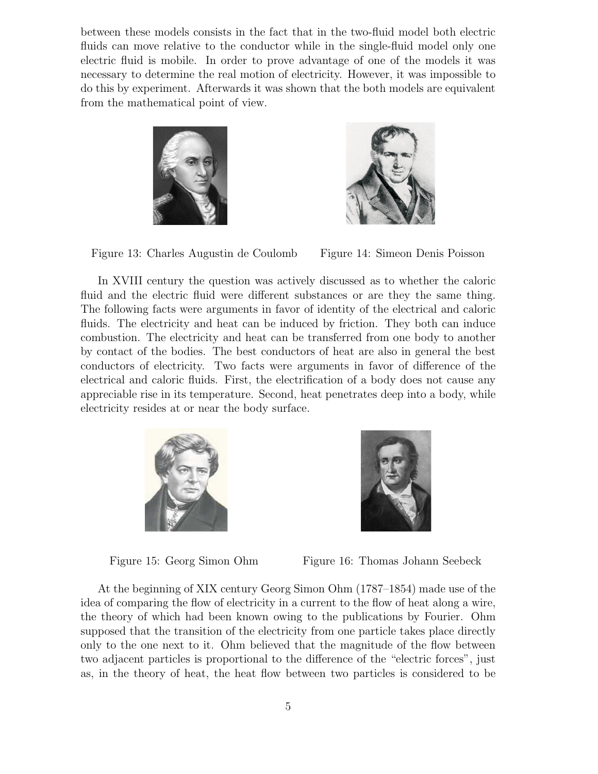between these models consists in the fact that in the two-fluid model both electric fluids can move relative to the conductor while in the single-fluid model only one electric fluid is mobile. In order to prove advantage of one of the models it was necessary to determine the real motion of electricity. However, it was impossible to do this by experiment. Afterwards it was shown that the both models are equivalent from the mathematical point of view.







In XVIII century the question was actively discussed as to whether the caloric fluid and the electric fluid were different substances or are they the same thing. The following facts were arguments in favor of identity of the electrical and caloric fluids. The electricity and heat can be induced by friction. They both can induce combustion. The electricity and heat can be transferred from one body to another by contact of the bodies. The best conductors of heat are also in general the best conductors of electricity. Two facts were arguments in favor of difference of the electrical and caloric fluids. First, the electrification of a body does not cause any appreciable rise in its temperature. Second, heat penetrates deep into a body, while electricity resides at or near the body surface.





Figure 15: Georg Simon Ohm Figure 16: Thomas Johann Seebeck

At the beginning of XIX century Georg Simon Ohm (1787–1854) made use of the idea of comparing the flow of electricity in a current to the flow of heat along a wire, the theory of which had been known owing to the publications by Fourier. Ohm supposed that the transition of the electricity from one particle takes place directly only to the one next to it. Ohm believed that the magnitude of the flow between two adjacent particles is proportional to the difference of the "electric forces", just as, in the theory of heat, the heat flow between two particles is considered to be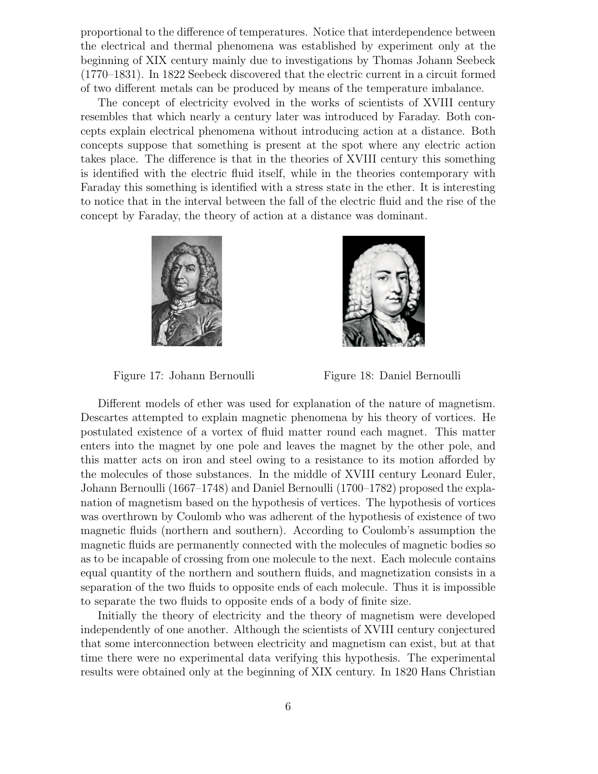proportional to the difference of temperatures. Notice that interdependence between the electrical and thermal phenomena was established by experiment only at the beginning of XIX century mainly due to investigations by Thomas Johann Seebeck (1770–1831). In 1822 Seebeck discovered that the electric current in a circuit formed of two different metals can be produced by means of the temperature imbalance.

The concept of electricity evolved in the works of scientists of XVIII century resembles that which nearly a century later was introduced by Faraday. Both concepts explain electrical phenomena without introducing action at a distance. Both concepts suppose that something is present at the spot where any electric action takes place. The difference is that in the theories of XVIII century this something is identified with the electric fluid itself, while in the theories contemporary with Faraday this something is identified with a stress state in the ether. It is interesting to notice that in the interval between the fall of the electric fluid and the rise of the concept by Faraday, the theory of action at a distance was dominant.





Figure 17: Johann Bernoulli Figure 18: Daniel Bernoulli

Different models of ether was used for explanation of the nature of magnetism. Descartes attempted to explain magnetic phenomena by his theory of vortices. He postulated existence of a vortex of fluid matter round each magnet. This matter enters into the magnet by one pole and leaves the magnet by the other pole, and this matter acts on iron and steel owing to a resistance to its motion afforded by the molecules of those substances. In the middle of XVIII century Leonard Euler, Johann Bernoulli (1667–1748) and Daniel Bernoulli (1700–1782) proposed the explanation of magnetism based on the hypothesis of vertices. The hypothesis of vortices was overthrown by Coulomb who was adherent of the hypothesis of existence of two magnetic fluids (northern and southern). According to Coulomb's assumption the magnetic fluids are permanently connected with the molecules of magnetic bodies so as to be incapable of crossing from one molecule to the next. Each molecule contains equal quantity of the northern and southern fluids, and magnetization consists in a separation of the two fluids to opposite ends of each molecule. Thus it is impossible to separate the two fluids to opposite ends of a body of finite size.

Initially the theory of electricity and the theory of magnetism were developed independently of one another. Although the scientists of XVIII century conjectured that some interconnection between electricity and magnetism can exist, but at that time there were no experimental data verifying this hypothesis. The experimental results were obtained only at the beginning of XIX century. In 1820 Hans Christian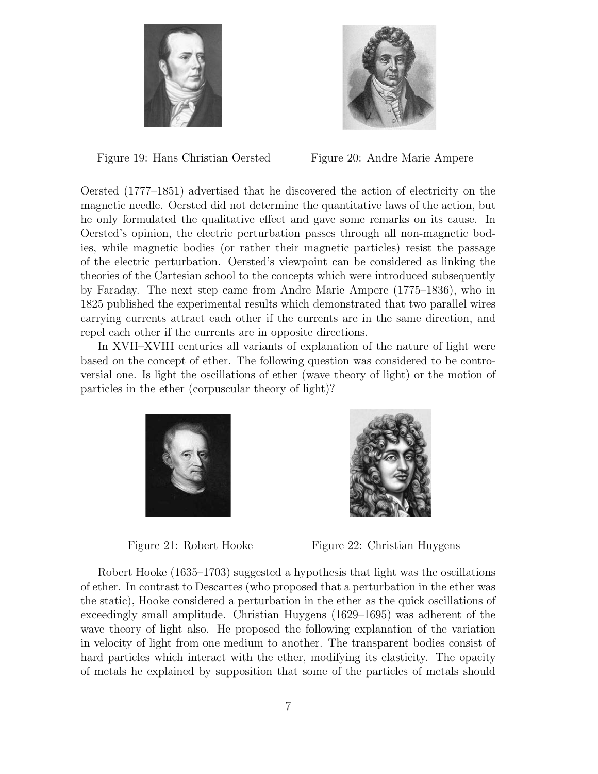



Figure 19: Hans Christian Oersted Figure 20: Andre Marie Ampere

Oersted (1777–1851) advertised that he discovered the action of electricity on the magnetic needle. Oersted did not determine the quantitative laws of the action, but he only formulated the qualitative effect and gave some remarks on its cause. In Oersted's opinion, the electric perturbation passes through all non-magnetic bodies, while magnetic bodies (or rather their magnetic particles) resist the passage of the electric perturbation. Oersted's viewpoint can be considered as linking the theories of the Cartesian school to the concepts which were introduced subsequently by Faraday. The next step came from Andre Marie Ampere (1775–1836), who in 1825 published the experimental results which demonstrated that two parallel wires carrying currents attract each other if the currents are in the same direction, and repel each other if the currents are in opposite directions.

In XVII–XVIII centuries all variants of explanation of the nature of light were based on the concept of ether. The following question was considered to be controversial one. Is light the oscillations of ether (wave theory of light) or the motion of particles in the ether (corpuscular theory of light)?





Figure 21: Robert Hooke Figure 22: Christian Huygens

Robert Hooke (1635–1703) suggested a hypothesis that light was the oscillations of ether. In contrast to Descartes (who proposed that a perturbation in the ether was the static), Hooke considered a perturbation in the ether as the quick oscillations of exceedingly small amplitude. Christian Huygens (1629–1695) was adherent of the wave theory of light also. He proposed the following explanation of the variation in velocity of light from one medium to another. The transparent bodies consist of hard particles which interact with the ether, modifying its elasticity. The opacity of metals he explained by supposition that some of the particles of metals should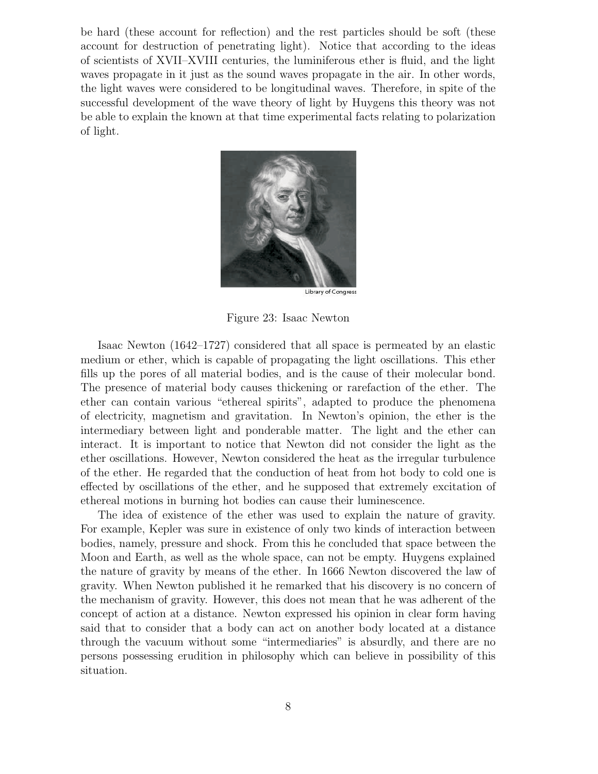be hard (these account for reflection) and the rest particles should be soft (these account for destruction of penetrating light). Notice that according to the ideas of scientists of XVII–XVIII centuries, the luminiferous ether is fluid, and the light waves propagate in it just as the sound waves propagate in the air. In other words, the light waves were considered to be longitudinal waves. Therefore, in spite of the successful development of the wave theory of light by Huygens this theory was not be able to explain the known at that time experimental facts relating to polarization of light.



Library of Congress

Figure 23: Isaac Newton

Isaac Newton (1642–1727) considered that all space is permeated by an elastic medium or ether, which is capable of propagating the light oscillations. This ether fills up the pores of all material bodies, and is the cause of their molecular bond. The presence of material body causes thickening or rarefaction of the ether. The ether can contain various "ethereal spirits", adapted to produce the phenomena of electricity, magnetism and gravitation. In Newton's opinion, the ether is the intermediary between light and ponderable matter. The light and the ether can interact. It is important to notice that Newton did not consider the light as the ether oscillations. However, Newton considered the heat as the irregular turbulence of the ether. He regarded that the conduction of heat from hot body to cold one is effected by oscillations of the ether, and he supposed that extremely excitation of ethereal motions in burning hot bodies can cause their luminescence.

The idea of existence of the ether was used to explain the nature of gravity. For example, Kepler was sure in existence of only two kinds of interaction between bodies, namely, pressure and shock. From this he concluded that space between the Moon and Earth, as well as the whole space, can not be empty. Huygens explained the nature of gravity by means of the ether. In 1666 Newton discovered the law of gravity. When Newton published it he remarked that his discovery is no concern of the mechanism of gravity. However, this does not mean that he was adherent of the concept of action at a distance. Newton expressed his opinion in clear form having said that to consider that a body can act on another body located at a distance through the vacuum without some "intermediaries" is absurdly, and there are no persons possessing erudition in philosophy which can believe in possibility of this situation.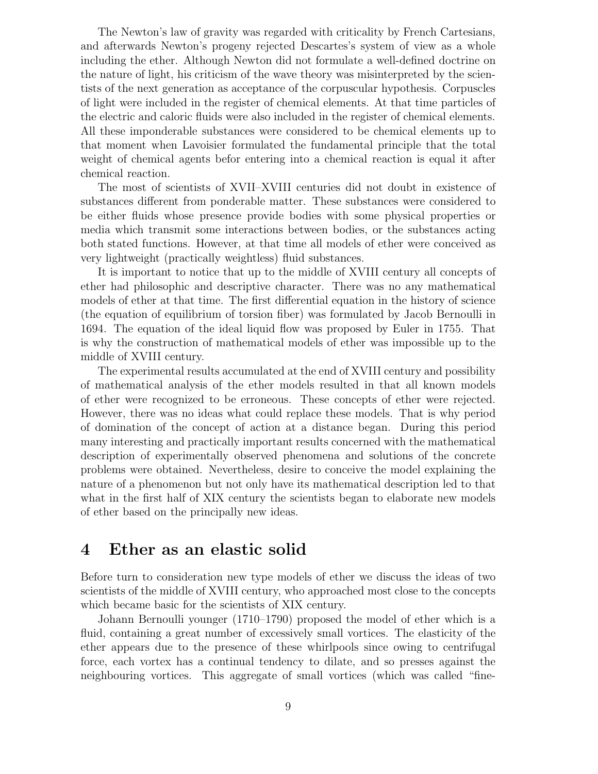The Newton's law of gravity was regarded with criticality by French Cartesians, and afterwards Newton's progeny rejected Descartes's system of view as a whole including the ether. Although Newton did not formulate a well-defined doctrine on the nature of light, his criticism of the wave theory was misinterpreted by the scientists of the next generation as acceptance of the corpuscular hypothesis. Corpuscles of light were included in the register of chemical elements. At that time particles of the electric and caloric fluids were also included in the register of chemical elements. All these imponderable substances were considered to be chemical elements up to that moment when Lavoisier formulated the fundamental principle that the total weight of chemical agents befor entering into a chemical reaction is equal it after chemical reaction.

The most of scientists of XVII–XVIII centuries did not doubt in existence of substances different from ponderable matter. These substances were considered to be either fluids whose presence provide bodies with some physical properties or media which transmit some interactions between bodies, or the substances acting both stated functions. However, at that time all models of ether were conceived as very lightweight (practically weightless) fluid substances.

It is important to notice that up to the middle of XVIII century all concepts of ether had philosophic and descriptive character. There was no any mathematical models of ether at that time. The first differential equation in the history of science (the equation of equilibrium of torsion fiber) was formulated by Jacob Bernoulli in 1694. The equation of the ideal liquid flow was proposed by Euler in 1755. That is why the construction of mathematical models of ether was impossible up to the middle of XVIII century.

The experimental results accumulated at the end of XVIII century and possibility of mathematical analysis of the ether models resulted in that all known models of ether were recognized to be erroneous. These concepts of ether were rejected. However, there was no ideas what could replace these models. That is why period of domination of the concept of action at a distance began. During this period many interesting and practically important results concerned with the mathematical description of experimentally observed phenomena and solutions of the concrete problems were obtained. Nevertheless, desire to conceive the model explaining the nature of a phenomenon but not only have its mathematical description led to that what in the first half of XIX century the scientists began to elaborate new models of ether based on the principally new ideas.

#### **4 Ether as an elastic solid**

Before turn to consideration new type models of ether we discuss the ideas of two scientists of the middle of XVIII century, who approached most close to the concepts which became basic for the scientists of XIX century.

Johann Bernoulli younger (1710–1790) proposed the model of ether which is a fluid, containing a great number of excessively small vortices. The elasticity of the ether appears due to the presence of these whirlpools since owing to centrifugal force, each vortex has a continual tendency to dilate, and so presses against the neighbouring vortices. This aggregate of small vortices (which was called "fine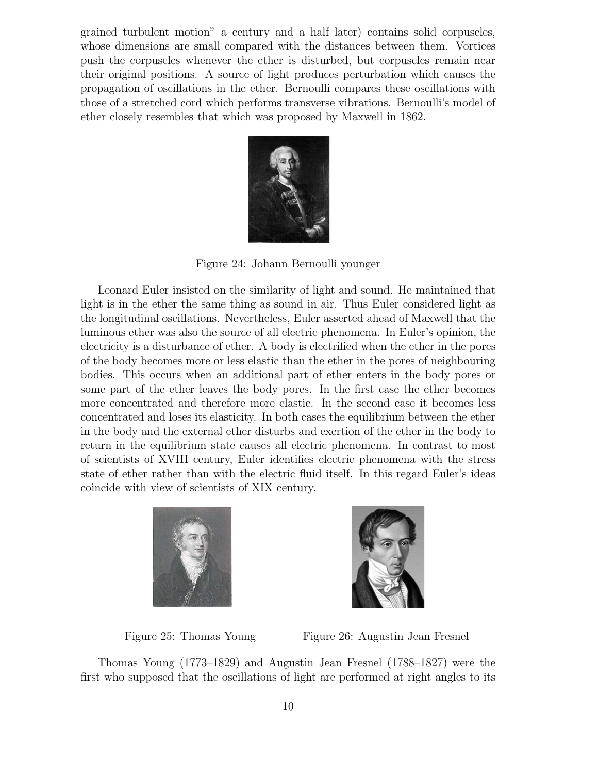grained turbulent motion" a century and a half later) contains solid corpuscles, whose dimensions are small compared with the distances between them. Vortices push the corpuscles whenever the ether is disturbed, but corpuscles remain near their original positions. A source of light produces perturbation which causes the propagation of oscillations in the ether. Bernoulli compares these oscillations with those of a stretched cord which performs transverse vibrations. Bernoulli's model of ether closely resembles that which was proposed by Maxwell in 1862.



Figure 24: Johann Bernoulli younger

Leonard Euler insisted on the similarity of light and sound. He maintained that light is in the ether the same thing as sound in air. Thus Euler considered light as the longitudinal oscillations. Nevertheless, Euler asserted ahead of Maxwell that the luminous ether was also the source of all electric phenomena. In Euler's opinion, the electricity is a disturbance of ether. A body is electrified when the ether in the pores of the body becomes more or less elastic than the ether in the pores of neighbouring bodies. This occurs when an additional part of ether enters in the body pores or some part of the ether leaves the body pores. In the first case the ether becomes more concentrated and therefore more elastic. In the second case it becomes less concentrated and loses its elasticity. In both cases the equilibrium between the ether in the body and the external ether disturbs and exertion of the ether in the body to return in the equilibrium state causes all electric phenomena. In contrast to most of scientists of XVIII century, Euler identifies electric phenomena with the stress state of ether rather than with the electric fluid itself. In this regard Euler's ideas coincide with view of scientists of XIX century.





Figure 25: Thomas Young Figure 26: Augustin Jean Fresnel

Thomas Young (1773–1829) and Augustin Jean Fresnel (1788–1827) were the first who supposed that the oscillations of light are performed at right angles to its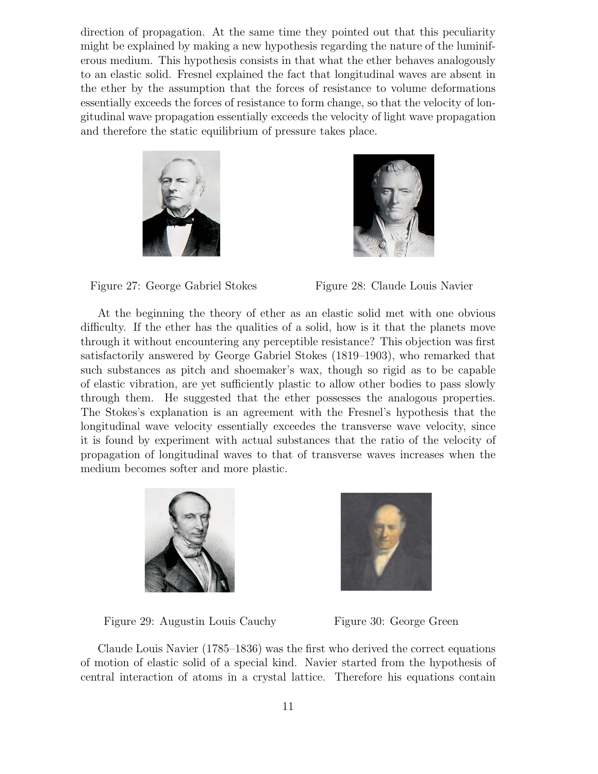direction of propagation. At the same time they pointed out that this peculiarity might be explained by making a new hypothesis regarding the nature of the luminiferous medium. This hypothesis consists in that what the ether behaves analogously to an elastic solid. Fresnel explained the fact that longitudinal waves are absent in the ether by the assumption that the forces of resistance to volume deformations essentially exceeds the forces of resistance to form change, so that the velocity of longitudinal wave propagation essentially exceeds the velocity of light wave propagation and therefore the static equilibrium of pressure takes place.







At the beginning the theory of ether as an elastic solid met with one obvious difficulty. If the ether has the qualities of a solid, how is it that the planets move through it without encountering any perceptible resistance? This objection was first satisfactorily answered by George Gabriel Stokes (1819–1903), who remarked that such substances as pitch and shoemaker's wax, though so rigid as to be capable of elastic vibration, are yet sufficiently plastic to allow other bodies to pass slowly through them. He suggested that the ether possesses the analogous properties. The Stokes's explanation is an agreement with the Fresnel's hypothesis that the longitudinal wave velocity essentially exceedes the transverse wave velocity, since it is found by experiment with actual substances that the ratio of the velocity of propagation of longitudinal waves to that of transverse waves increases when the medium becomes softer and more plastic.





Figure 29: Augustin Louis Cauchy Figure 30: George Green



Claude Louis Navier (1785–1836) was the first who derived the correct equations of motion of elastic solid of a special kind. Navier started from the hypothesis of central interaction of atoms in a crystal lattice. Therefore his equations contain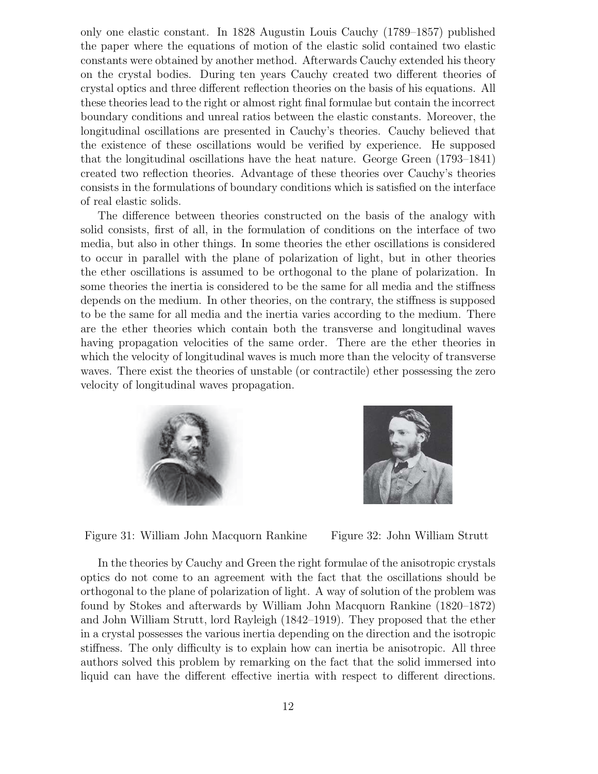only one elastic constant. In 1828 Augustin Louis Cauchy (1789–1857) published the paper where the equations of motion of the elastic solid contained two elastic constants were obtained by another method. Afterwards Cauchy extended his theory on the crystal bodies. During ten years Cauchy created two different theories of crystal optics and three different reflection theories on the basis of his equations. All these theories lead to the right or almost right final formulae but contain the incorrect boundary conditions and unreal ratios between the elastic constants. Moreover, the longitudinal oscillations are presented in Cauchy's theories. Cauchy believed that the existence of these oscillations would be verified by experience. He supposed that the longitudinal oscillations have the heat nature. George Green (1793–1841) created two reflection theories. Advantage of these theories over Cauchy's theories consists in the formulations of boundary conditions which is satisfied on the interface of real elastic solids.

The difference between theories constructed on the basis of the analogy with solid consists, first of all, in the formulation of conditions on the interface of two media, but also in other things. In some theories the ether oscillations is considered to occur in parallel with the plane of polarization of light, but in other theories the ether oscillations is assumed to be orthogonal to the plane of polarization. In some theories the inertia is considered to be the same for all media and the stiffness depends on the medium. In other theories, on the contrary, the stiffness is supposed to be the same for all media and the inertia varies according to the medium. There are the ether theories which contain both the transverse and longitudinal waves having propagation velocities of the same order. There are the ether theories in which the velocity of longitudinal waves is much more than the velocity of transverse waves. There exist the theories of unstable (or contractile) ether possessing the zero velocity of longitudinal waves propagation.





Figure 31: William John Macquorn Rankine Figure 32: John William Strutt

In the theories by Cauchy and Green the right formulae of the anisotropic crystals optics do not come to an agreement with the fact that the oscillations should be orthogonal to the plane of polarization of light. A way of solution of the problem was found by Stokes and afterwards by William John Macquorn Rankine (1820–1872) and John William Strutt, lord Rayleigh (1842–1919). They proposed that the ether in a crystal possesses the various inertia depending on the direction and the isotropic stiffness. The only difficulty is to explain how can inertia be anisotropic. All three authors solved this problem by remarking on the fact that the solid immersed into liquid can have the different effective inertia with respect to different directions.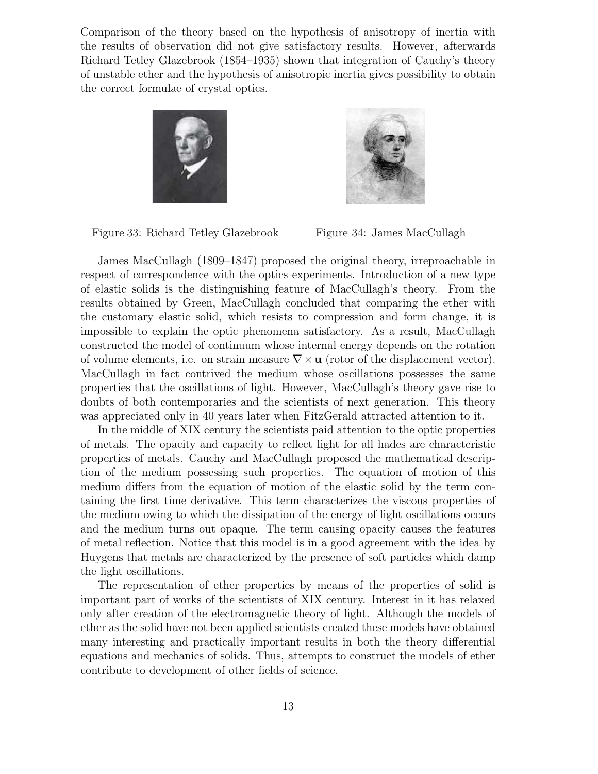Comparison of the theory based on the hypothesis of anisotropy of inertia with the results of observation did not give satisfactory results. However, afterwards Richard Tetley Glazebrook (1854–1935) shown that integration of Cauchy's theory of unstable ether and the hypothesis of anisotropic inertia gives possibility to obtain the correct formulae of crystal optics.





Figure 33: Richard Tetley Glazebrook Figure 34: James MacCullagh

James MacCullagh (1809–1847) proposed the original theory, irreproachable in respect of correspondence with the optics experiments. Introduction of a new type of elastic solids is the distinguishing feature of MacCullagh's theory. From the results obtained by Green, MacCullagh concluded that comparing the ether with the customary elastic solid, which resists to compression and form change, it is impossible to explain the optic phenomena satisfactory. As a result, MacCullagh constructed the model of continuum whose internal energy depends on the rotation of volume elements, i.e. on strain measure  $\nabla \times \mathbf{u}$  (rotor of the displacement vector). MacCullagh in fact contrived the medium whose oscillations possesses the same properties that the oscillations of light. However, MacCullagh's theory gave rise to doubts of both contemporaries and the scientists of next generation. This theory was appreciated only in 40 years later when FitzGerald attracted attention to it.

In the middle of XIX century the scientists paid attention to the optic properties of metals. The opacity and capacity to reflect light for all hades are characteristic properties of metals. Cauchy and MacCullagh proposed the mathematical description of the medium possessing such properties. The equation of motion of this medium differs from the equation of motion of the elastic solid by the term containing the first time derivative. This term characterizes the viscous properties of the medium owing to which the dissipation of the energy of light oscillations occurs and the medium turns out opaque. The term causing opacity causes the features of metal reflection. Notice that this model is in a good agreement with the idea by Huygens that metals are characterized by the presence of soft particles which damp the light oscillations.

The representation of ether properties by means of the properties of solid is important part of works of the scientists of XIX century. Interest in it has relaxed only after creation of the electromagnetic theory of light. Although the models of ether as the solid have not been applied scientists created these models have obtained many interesting and practically important results in both the theory differential equations and mechanics of solids. Thus, attempts to construct the models of ether contribute to development of other fields of science.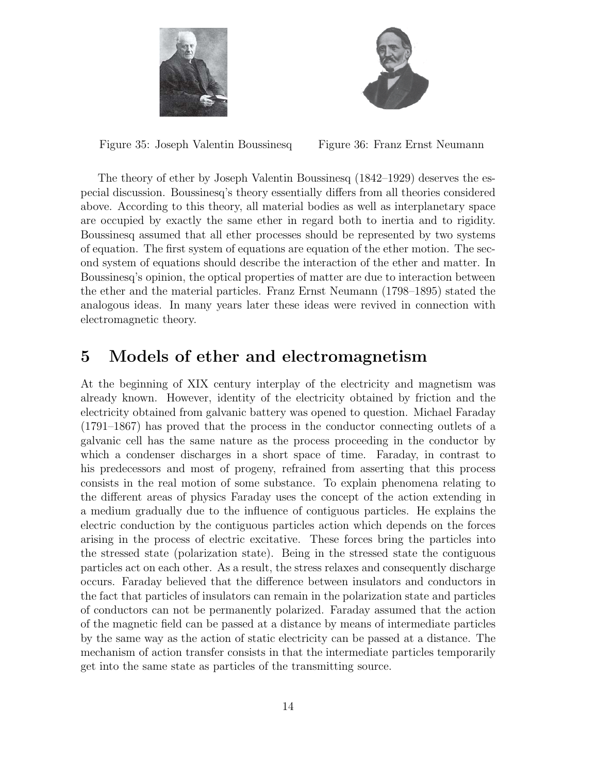



Figure 35: Joseph Valentin Boussinesq Figure 36: Franz Ernst Neumann

The theory of ether by Joseph Valentin Boussinesq (1842–1929) deserves the especial discussion. Boussinesq's theory essentially differs from all theories considered above. According to this theory, all material bodies as well as interplanetary space are occupied by exactly the same ether in regard both to inertia and to rigidity. Boussinesq assumed that all ether processes should be represented by two systems of equation. The first system of equations are equation of the ether motion. The second system of equations should describe the interaction of the ether and matter. In Boussinesq's opinion, the optical properties of matter are due to interaction between the ether and the material particles. Franz Ernst Neumann (1798–1895) stated the analogous ideas. In many years later these ideas were revived in connection with electromagnetic theory.

### **5 Models of ether and electromagnetism**

At the beginning of XIX century interplay of the electricity and magnetism was already known. However, identity of the electricity obtained by friction and the electricity obtained from galvanic battery was opened to question. Michael Faraday (1791–1867) has proved that the process in the conductor connecting outlets of a galvanic cell has the same nature as the process proceeding in the conductor by which a condenser discharges in a short space of time. Faraday, in contrast to his predecessors and most of progeny, refrained from asserting that this process consists in the real motion of some substance. To explain phenomena relating to the different areas of physics Faraday uses the concept of the action extending in a medium gradually due to the influence of contiguous particles. He explains the electric conduction by the contiguous particles action which depends on the forces arising in the process of electric excitative. These forces bring the particles into the stressed state (polarization state). Being in the stressed state the contiguous particles act on each other. As a result, the stress relaxes and consequently discharge occurs. Faraday believed that the difference between insulators and conductors in the fact that particles of insulators can remain in the polarization state and particles of conductors can not be permanently polarized. Faraday assumed that the action of the magnetic field can be passed at a distance by means of intermediate particles by the same way as the action of static electricity can be passed at a distance. The mechanism of action transfer consists in that the intermediate particles temporarily get into the same state as particles of the transmitting source.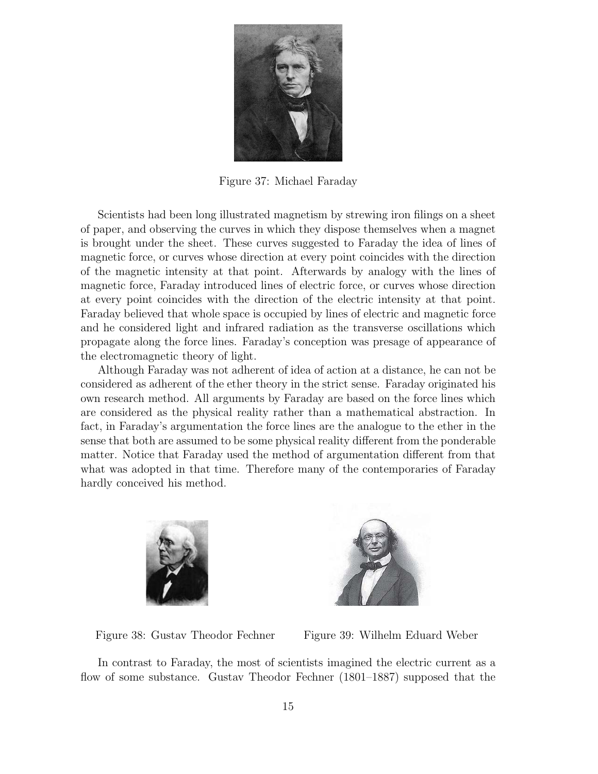

Figure 37: Michael Faraday

Scientists had been long illustrated magnetism by strewing iron filings on a sheet of paper, and observing the curves in which they dispose themselves when a magnet is brought under the sheet. These curves suggested to Faraday the idea of lines of magnetic force, or curves whose direction at every point coincides with the direction of the magnetic intensity at that point. Afterwards by analogy with the lines of magnetic force, Faraday introduced lines of electric force, or curves whose direction at every point coincides with the direction of the electric intensity at that point. Faraday believed that whole space is occupied by lines of electric and magnetic force and he considered light and infrared radiation as the transverse oscillations which propagate along the force lines. Faraday's conception was presage of appearance of the electromagnetic theory of light.

Although Faraday was not adherent of idea of action at a distance, he can not be considered as adherent of the ether theory in the strict sense. Faraday originated his own research method. All arguments by Faraday are based on the force lines which are considered as the physical reality rather than a mathematical abstraction. In fact, in Faraday's argumentation the force lines are the analogue to the ether in the sense that both are assumed to be some physical reality different from the ponderable matter. Notice that Faraday used the method of argumentation different from that what was adopted in that time. Therefore many of the contemporaries of Faraday hardly conceived his method.





Figure 38: Gustav Theodor Fechner Figure 39: Wilhelm Eduard Weber

In contrast to Faraday, the most of scientists imagined the electric current as a flow of some substance. Gustav Theodor Fechner (1801–1887) supposed that the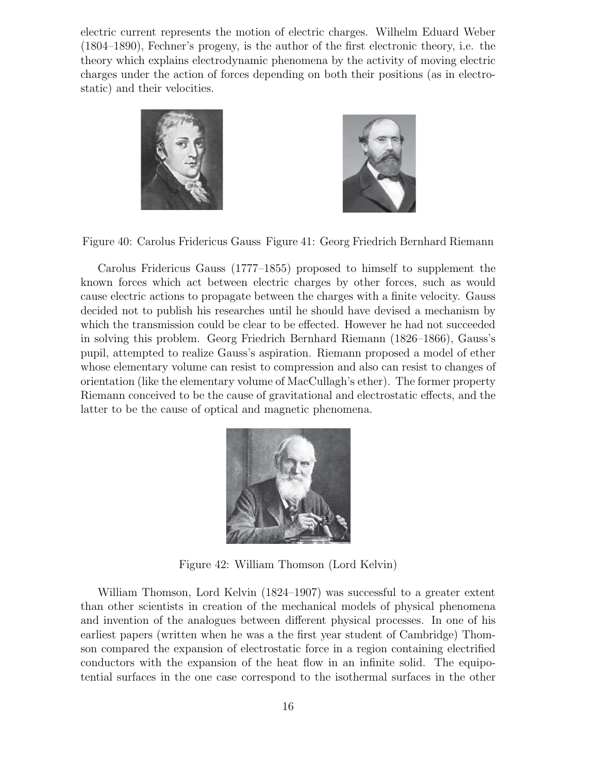electric current represents the motion of electric charges. Wilhelm Eduard Weber (1804–1890), Fechner's progeny, is the author of the first electronic theory, i.e. the theory which explains electrodynamic phenomena by the activity of moving electric charges under the action of forces depending on both their positions (as in electrostatic) and their velocities.





Figure 40: Carolus Fridericus Gauss Figure 41: Georg Friedrich Bernhard Riemann

Carolus Fridericus Gauss (1777–1855) proposed to himself to supplement the known forces which act between electric charges by other forces, such as would cause electric actions to propagate between the charges with a finite velocity. Gauss decided not to publish his researches until he should have devised a mechanism by which the transmission could be clear to be effected. However he had not succeeded in solving this problem. Georg Friedrich Bernhard Riemann (1826–1866), Gauss's pupil, attempted to realize Gauss's aspiration. Riemann proposed a model of ether whose elementary volume can resist to compression and also can resist to changes of orientation (like the elementary volume of MacCullagh's ether). The former property Riemann conceived to be the cause of gravitational and electrostatic effects, and the latter to be the cause of optical and magnetic phenomena.



Figure 42: William Thomson (Lord Kelvin)

William Thomson, Lord Kelvin (1824–1907) was successful to a greater extent than other scientists in creation of the mechanical models of physical phenomena and invention of the analogues between different physical processes. In one of his earliest papers (written when he was a the first year student of Cambridge) Thomson compared the expansion of electrostatic force in a region containing electrified conductors with the expansion of the heat flow in an infinite solid. The equipotential surfaces in the one case correspond to the isothermal surfaces in the other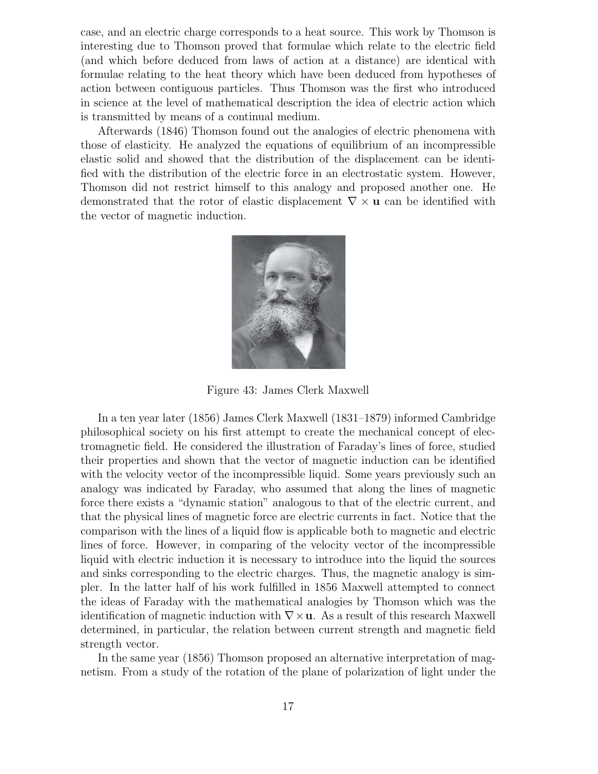case, and an electric charge corresponds to a heat source. This work by Thomson is interesting due to Thomson proved that formulae which relate to the electric field (and which before deduced from laws of action at a distance) are identical with formulae relating to the heat theory which have been deduced from hypotheses of action between contiguous particles. Thus Thomson was the first who introduced in science at the level of mathematical description the idea of electric action which is transmitted by means of a continual medium.

Afterwards (1846) Thomson found out the analogies of electric phenomena with those of elasticity. He analyzed the equations of equilibrium of an incompressible elastic solid and showed that the distribution of the displacement can be identified with the distribution of the electric force in an electrostatic system. However, Thomson did not restrict himself to this analogy and proposed another one. He demonstrated that the rotor of elastic displacement ∇ × **u** can be identified with the vector of magnetic induction.



Figure 43: James Clerk Maxwell

In a ten year later (1856) James Clerk Maxwell (1831–1879) informed Cambridge philosophical society on his first attempt to create the mechanical concept of electromagnetic field. He considered the illustration of Faraday's lines of force, studied their properties and shown that the vector of magnetic induction can be identified with the velocity vector of the incompressible liquid. Some years previously such an analogy was indicated by Faraday, who assumed that along the lines of magnetic force there exists a "dynamic station" analogous to that of the electric current, and that the physical lines of magnetic force are electric currents in fact. Notice that the comparison with the lines of a liquid flow is applicable both to magnetic and electric lines of force. However, in comparing of the velocity vector of the incompressible liquid with electric induction it is necessary to introduce into the liquid the sources and sinks corresponding to the electric charges. Thus, the magnetic analogy is simpler. In the latter half of his work fulfilled in 1856 Maxwell attempted to connect the ideas of Faraday with the mathematical analogies by Thomson which was the identification of magnetic induction with  $\nabla \times \mathbf{u}$ . As a result of this research Maxwell determined, in particular, the relation between current strength and magnetic field strength vector.

In the same year (1856) Thomson proposed an alternative interpretation of magnetism. From a study of the rotation of the plane of polarization of light under the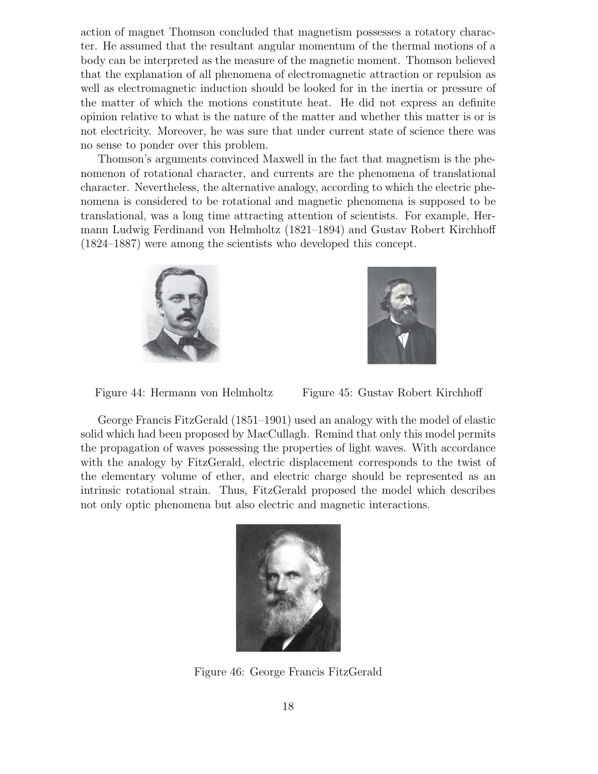action of magnet Thomson concluded that magnetism possesses a rotatory character. He assumed that the resultant angular momentum of the thermal motions of a body can be interpreted as the measure of the magnetic moment. Thomson believed that the explanation of all phenomena of electromagnetic attraction or repulsion as well as electromagnetic induction should be looked for in the inertia or pressure of the matter of which the motions constitute heat. He did not express an definite opinion relative to what is the nature of the matter and whether this matter is or is not electricity. Moreover, he was sure that under current state of science there was no sense to ponder over this problem.

Thomson's arguments convinced Maxwell in the fact that magnetism is the phenomenon of rotational character, and currents are the phenomena of translational character. Nevertheless, the alternative analogy, according to which the electric phenomena is considered to be rotational and magnetic phenomena is supposed to be translational, was a long time attracting attention of scientists. For example, Hermann Ludwig Ferdinand von Helmholtz (1821–1894) and Gustav Robert Kirchhoff (1824–1887) were among the scientists who developed this concept.





Figure 44: Hermann von Helmholtz Figure 45: Gustav Robert Kirchhoff

George Francis FitzGerald (1851–1901) used an analogy with the model of elastic solid which had been proposed by MacCullagh. Remind that only this model permits the propagation of waves possessing the properties of light waves. With accordance with the analogy by FitzGerald, electric displacement corresponds to the twist of the elementary volume of ether, and electric charge should be represented as an intrinsic rotational strain. Thus, FitzGerald proposed the model which describes not only optic phenomena but also electric and magnetic interactions.



Figure 46: George Francis FitzGerald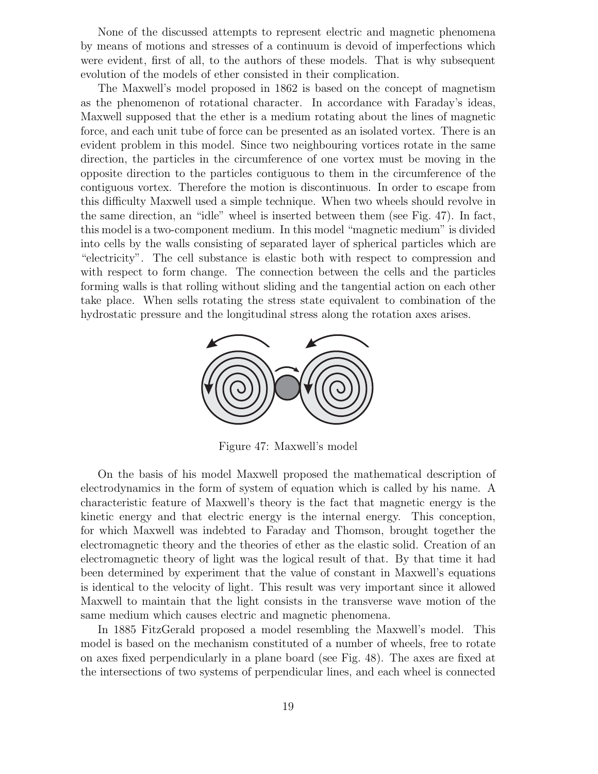None of the discussed attempts to represent electric and magnetic phenomena by means of motions and stresses of a continuum is devoid of imperfections which were evident, first of all, to the authors of these models. That is why subsequent evolution of the models of ether consisted in their complication.

The Maxwell's model proposed in 1862 is based on the concept of magnetism as the phenomenon of rotational character. In accordance with Faraday's ideas, Maxwell supposed that the ether is a medium rotating about the lines of magnetic force, and each unit tube of force can be presented as an isolated vortex. There is an evident problem in this model. Since two neighbouring vortices rotate in the same direction, the particles in the circumference of one vortex must be moving in the opposite direction to the particles contiguous to them in the circumference of the contiguous vortex. Therefore the motion is discontinuous. In order to escape from this difficulty Maxwell used a simple technique. When two wheels should revolve in the same direction, an "idle" wheel is inserted between them (see Fig. 47). In fact, this model is a two-component medium. In this model "magnetic medium" is divided into cells by the walls consisting of separated layer of spherical particles which are "electricity". The cell substance is elastic both with respect to compression and with respect to form change. The connection between the cells and the particles forming walls is that rolling without sliding and the tangential action on each other take place. When sells rotating the stress state equivalent to combination of the hydrostatic pressure and the longitudinal stress along the rotation axes arises.



Figure 47: Maxwell's model

On the basis of his model Maxwell proposed the mathematical description of electrodynamics in the form of system of equation which is called by his name. A characteristic feature of Maxwell's theory is the fact that magnetic energy is the kinetic energy and that electric energy is the internal energy. This conception, for which Maxwell was indebted to Faraday and Thomson, brought together the electromagnetic theory and the theories of ether as the elastic solid. Creation of an electromagnetic theory of light was the logical result of that. By that time it had been determined by experiment that the value of constant in Maxwell's equations is identical to the velocity of light. This result was very important since it allowed Maxwell to maintain that the light consists in the transverse wave motion of the same medium which causes electric and magnetic phenomena.

In 1885 FitzGerald proposed a model resembling the Maxwell's model. This model is based on the mechanism constituted of a number of wheels, free to rotate on axes fixed perpendicularly in a plane board (see Fig. 48). The axes are fixed at the intersections of two systems of perpendicular lines, and each wheel is connected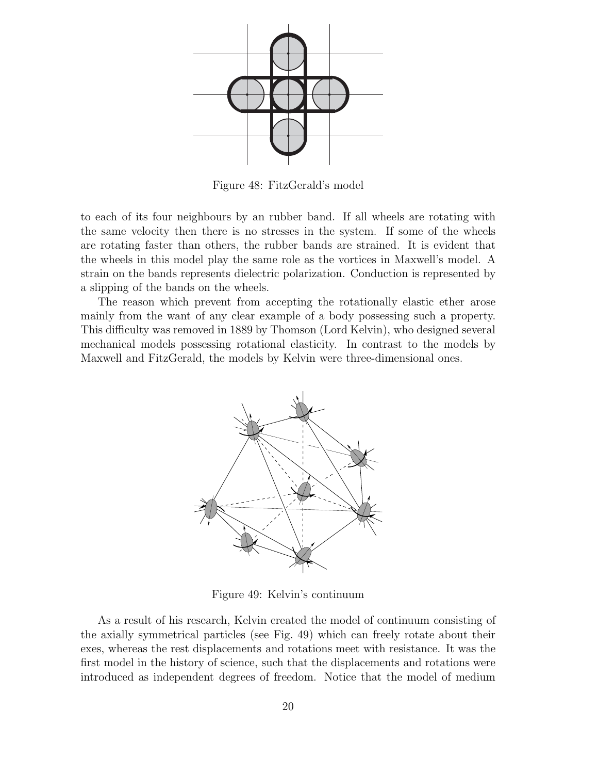

Figure 48: FitzGerald's model

to each of its four neighbours by an rubber band. If all wheels are rotating with the same velocity then there is no stresses in the system. If some of the wheels are rotating faster than others, the rubber bands are strained. It is evident that the wheels in this model play the same role as the vortices in Maxwell's model. A strain on the bands represents dielectric polarization. Conduction is represented by a slipping of the bands on the wheels.

The reason which prevent from accepting the rotationally elastic ether arose mainly from the want of any clear example of a body possessing such a property. This difficulty was removed in 1889 by Thomson (Lord Kelvin), who designed several mechanical models possessing rotational elasticity. In contrast to the models by Maxwell and FitzGerald, the models by Kelvin were three-dimensional ones.



Figure 49: Kelvin's continuum

As a result of his research, Kelvin created the model of continuum consisting of the axially symmetrical particles (see Fig. 49) which can freely rotate about their exes, whereas the rest displacements and rotations meet with resistance. It was the first model in the history of science, such that the displacements and rotations were introduced as independent degrees of freedom. Notice that the model of medium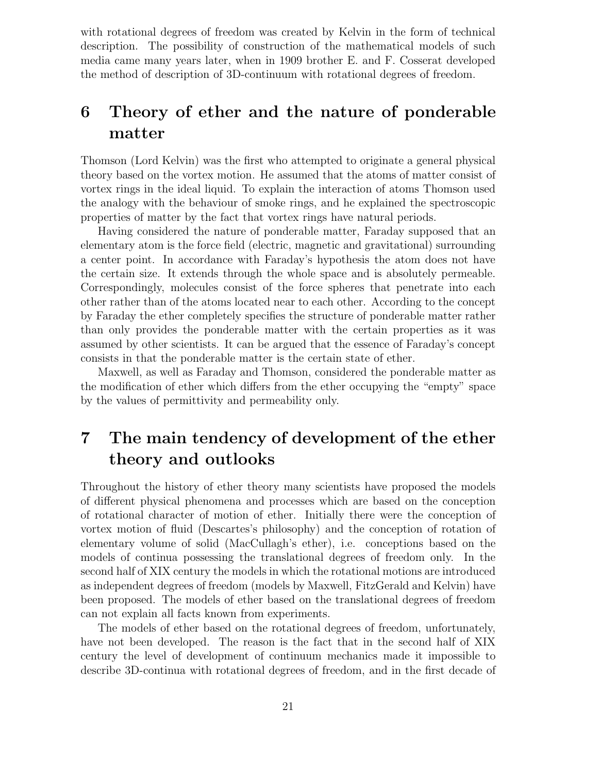with rotational degrees of freedom was created by Kelvin in the form of technical description. The possibility of construction of the mathematical models of such media came many years later, when in 1909 brother E. and F. Cosserat developed the method of description of 3D-continuum with rotational degrees of freedom.

## **6 Theory of ether and the nature of ponderable matter**

Thomson (Lord Kelvin) was the first who attempted to originate a general physical theory based on the vortex motion. He assumed that the atoms of matter consist of vortex rings in the ideal liquid. To explain the interaction of atoms Thomson used the analogy with the behaviour of smoke rings, and he explained the spectroscopic properties of matter by the fact that vortex rings have natural periods.

Having considered the nature of ponderable matter, Faraday supposed that an elementary atom is the force field (electric, magnetic and gravitational) surrounding a center point. In accordance with Faraday's hypothesis the atom does not have the certain size. It extends through the whole space and is absolutely permeable. Correspondingly, molecules consist of the force spheres that penetrate into each other rather than of the atoms located near to each other. According to the concept by Faraday the ether completely specifies the structure of ponderable matter rather than only provides the ponderable matter with the certain properties as it was assumed by other scientists. It can be argued that the essence of Faraday's concept consists in that the ponderable matter is the certain state of ether.

Maxwell, as well as Faraday and Thomson, considered the ponderable matter as the modification of ether which differs from the ether occupying the "empty" space by the values of permittivity and permeability only.

# **7 The main tendency of development of the ether theory and outlooks**

Throughout the history of ether theory many scientists have proposed the models of different physical phenomena and processes which are based on the conception of rotational character of motion of ether. Initially there were the conception of vortex motion of fluid (Descartes's philosophy) and the conception of rotation of elementary volume of solid (MacCullagh's ether), i.e. conceptions based on the models of continua possessing the translational degrees of freedom only. In the second half of XIX century the models in which the rotational motions are introduced as independent degrees of freedom (models by Maxwell, FitzGerald and Kelvin) have been proposed. The models of ether based on the translational degrees of freedom can not explain all facts known from experiments.

The models of ether based on the rotational degrees of freedom, unfortunately, have not been developed. The reason is the fact that in the second half of XIX century the level of development of continuum mechanics made it impossible to describe 3D-continua with rotational degrees of freedom, and in the first decade of